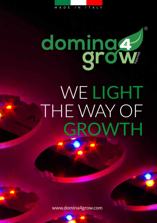M A D E I N I TA LY

# doming4 WE LIGHT THE WAY OF GROWTH

®

www.domina4grow.com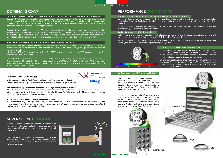# **DOMINA4GROW®**

#### **LA LINEA DOMINA4GROW® OFFRE GRANDI PRESTAZIONI AL SERVIZIO E PER IL BENESSERE DELLA NATURA**

**Domina4Grow®** nasce con uno spettro luminoso, configurato per una crescita e fioritura ottimale, frutto di test e ricerca sulla Radiazione Fotosintetica Attiva (PAR). Combina il brevetto **INLED®** con diodi specifici di ultima generazione, selezionati per potenza e qualità radiometriche e fotometriche, integrati nel sistema, realizzati da CREE®, leader di mercato nella produzione di componenti LED ad alte performances.

**Domina4Grow®** è costituita da lampade LED a sospensione, multi spettro, a lunghezze d'onda variabile, proposte in due versioni: D4G180 modello dotato di 60 diodi con una potenza massima configurabile di 180W e D4G540 modello dotato di 180 diodi, in grado di produrre fino a 540W di potenza. L'angolo di luce emessa rispetta lo standard industriale di **120°**. Le lampade possono essere fornite di lenti intercambiabili in grado di convogliare il flusso luminoso a **70°** o **90°**.

#### *SERIES ARE DESIGNED AROUND NATURE AND MADE FOR OPTIMAL PERFORMANCE*

*We discovered and implemented the optimal light wavelength that will maximize blooming and plant growth rate thanks to our extensive research into Photosynthetic Active Radiation (PAR) that has allowed us to an optimal light spectrum for increased photosynthesis rate.*

*We combine INLED technology with the latest diodes from CREE®, a market leader in production of LED components and to further improve the efficiency of our lamps.*

*Domina4Grow® series includes suspension LED lamps multi-spectrum with variable wave lengths. It's available in two versions: D4G180 featuring 60 LED diodes with the nominal output power of 180W and D4G540 featuring 180 LED diodes with the nominal output power of 540W. We offer the possibility of installing lenses that will focus the light angle from an industry standard of 120° to more efficient 70° and 90°.* 

## **Italian•Led•Technology**



Unico sistema brevettato Plug&Play per realizzare spettri luminosi personalizzati *Powered by the unique Plug&Play technology for personalized customizable light spectrums*

#### **Il Sistema INLED***®* **rappresenta una delle nostre tecnologie d'avanguardia, brevettate.**

INLED*®* è l'unico sistema che rende possibile la personalizzazione dello spettro luminoso senza sostituire, parzialmente o integralmente, la struttura della lampada. Segue la filosofia "Plug and Play" che permette di utilizzare una sola lampada su cui è possibile sostituire autonomamente diversi LED set.

#### *INLED® system Our cutting-edge, built-in patented technology.*

*INLED® the unique plug & play system to quickly and easily change the LED printed circuit boards without affecting the lamp structure itself. This cutting-edge solution allows to customize the lamp's LED configuration on the spot creating tailored light spectrums able to respond to any specific plants' need.*

# **SUPER SILENCE COOLING**

Il raffreddamento è gestito da alimentatori dedicati e da ventole super silenziose. I sistemi impiegati, così composti, garantiscono elevati volumi d'aria e **bassissimi valori di rumorosità**.

*The cooling systems ensure high air volumes and very low noise levels. The components mounted on the lamps for connection to the mains enable the use of several lighting units connected in series between them.*



# **PERFORMANCE COMPONENTS**

#### **UN SOLO STRUMENTO, INFINITE COMBINAZIONI -** *ONE DEVICE, ENDLESS OPTIONS*

La linea D4G può essere configurata con spettri luminosi, idonei al ciclo completo di coltivazione, oppure alle singole fasi - vegetativa, di fioritura, Real Vision - fino alla completa personalizzazione dei modelli di lampade, sulla base di specifiche richieste.

*D4G series can be configured with an array of light spectrums suitable to Full Cycle, Vegetative and Blooming phases up to any customizable option according to clients' specifications*

#### **Spettro Caratteristico -** *Distinctive Spectrum*

Tutte le nostre lampade sono dotate di uno spettro luminoso configurato, frutto di alta sperimentazione che permette di avere una lunghezza d'onda ottimale per le singole fasi di crescita e fioritura delle piante.

*All our lamps come with a configured light spectrum, a result of years of testing and fine tuning to make sure that the optimal light wavelength is achieved for increased plant growth and flowering rates.*



#### **Spettro Personalizzabile -** *Spectrum of your choice*

Offriamo la possibilità di regolare lo spettro prodotto dalle nostre lampade, integrando e variando diverse lunghezze d'onda da 400 nm a oltre 700 nm. Questa soluzione permette di ottenere uno spettro luminoso adeguato a quello richiesto dei nostri clienti.

*We offer customized options for adjusting the light wavelength that your own lamp will produce by integrating several different light wavelengths from 400 nm up to 700 nm and over. It allows us to create a light spectrum 100% according to clients' specifications.*

#### **Ottiche Intercambiabili -** *Interchangeable Optics*

Tutte le nostre lampade sono equipaggiate con diodi LED ad un angolo di dispersione della luce di 120°: si tratta di un valore di fabbricazione standard. Nel caso in cui i nostri clienti desiderino un sistema più specifico, offriamo due set di lenti per direzionare la luce a 70° o 90°.

*All our lamps come with LED diodes that have a 120° angle of light dispersion. This has been set as an industry standard and has proven to be the most optimal overall. For clients that desire a more specialized system, we offer two different sets of lenses that are used to focus the light to 70° or 90°.*



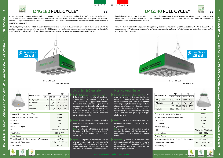

 $C\in$ 



**D4G180 FULL CYCLE \***

Il modello D4G180 è dotato di 60 diodi LED con una potenza massima configurabile di 180W\*. Con un ingombro di cm 19,0 x 21,8 x 7,5 soddisfa le esigenze di ogni coltivatore con ottimi risultati in termini di efficienza e di qualità del prodotto ottenuto. Le piccole dimensioni rendono la lampada D4G180 particolarmente adatta ad ambienti ridotti, senza ridurne le eccellenti prestazioni.

*This plant growing features 60 LED diodes with the nominal output power of 130W which can be easily driven up to 180W\*. Its relatively compact size compared to our bigger D4G540 makes more suitable for compact growers that large-scale use. Despite its size the D4G180 will easily handle the lighting needs of any smaller green house with optimal results and efficiency.*

**D4G-180FC90**



**D4G-180FC70**

Il modello D4G540 è dotato di 180 diodi LED in grado di produrre fino a 540W\* di potenza. Misura cm 36,5 x 32,8 x 7,5. Le dimensioni importanti e le notevoli prestazioni, rendono la lampada D4G540, la scelta perfetta per soddisfare le esigenze di illuminazione del coltivatore professionale.

*The D4G540 is a larger and more powerful lamp featuring three times the amount of LED diodes of the D4G180. Its 180 diodes con produce up to 540W\* of power which, coupled with its considerable size, makes it a perfect choice for any professional grower looking to cover their lighting needs.*

**D4G540 FULL CYCLE \***



**D4G-540FC90 D4G-540FC70**

|            | 70°         |       | 90°   |       |
|------------|-------------|-------|-------|-------|
|            | 60x60       | 80×80 | 60x60 | 80×80 |
| PAR @ 50cm | 650         | 620   | 410   | 398   |
| PAR/Watt   | 5           | 4.8   | 3.2   | 3,1   |
| lux        | 15080       | 14450 | 10170 | 9450  |
| lux/Watt   | 116         | 111.2 | 78.2  | 72,7  |
|            | Performance |       |       |       |

| Potenza Utilizzata - Actual Power                             | 130 W                            |
|---------------------------------------------------------------|----------------------------------|
| Potenza Nominale - Nominal Power                              | 180 W                            |
| LED Chip                                                      | <b>CREE</b>                      |
| <b>I FD Power</b>                                             | 3W                               |
| $N^{\circ}$ LED - LED Q.ty                                    | 60                               |
| <b>PCB</b>                                                    | Alluminio - Alluminium           |
| Input Voltage                                                 | $220 - 240V$                     |
| Power Factor                                                  | > 0.95                           |
| T <sup>o</sup> ambientale di utilizzo - Operating Temperature | $-20+40$ °C.                     |
| Dimensioni - Dimensions                                       | $19.0 \times 21.8 \times 7.5$ cm |
| Peso - Weight                                                 | $3.4$ Kg                         |
|                                                               |                                  |

Il PAR indica un intervallo di lunghezza d'onda della luce compreso tra i 400 e 700 nanometri (approssimativamente l'intervallo della luce visibile per l'occhio umano), che corrisponde alla lunghezza d'onda ottimale per la fotosintesi. Le particelle di luce di lunghezze d'onda inferiore a 400 nm e superiori a 700 nm non sono utili a innescarla.

**lumen:** lumen è l'unità di misura che indica

la quantità di luce emessa da una singola

sorgente luminosa.

**lum:** lux è la scala utilizzata per misurare la quantità di luce ( definita in lumen) che illumina una superficie di un metro quadrato.

**Spettro:** Lo Spettro è un termine comune che comprende tutte le frequenze note della radiazione elettromagnetica e le loro rispettive lunghezze d'onda. (Nota: La luce è una forma di radiazione elettromagnetica).

*PAR Photosynthetic Active Radiation: PAR represents a range of light wavelength from 400 to 700 nanometers (roughly the range visible to human eye) which is the optimal wave length for photosynthesis. Light particles of lower wavelentgths carry too much energy and can be damaging to plant cells and tissue while those of wavelengths exceeding 700 do not have enough energy to trigger photosynthesis.*

*lumen: lumen is a measurement unit that represents the quantity of light emitted by a single source.*

*lux: lux is a measurement unit that is used to measure the quantity of light (measured in lumen) illuminating the surface of 1 square meter.*

*Spectrum: Spectrum is a collective term that encompasses all the know frequencies of electromagnetic radiation and their respective wave lengths. (Note: Light is a type electromagnetic radiation).*

**www.domina4grow.com** *\*Disponibile surichiesta - Available upon request* 

| Performance |       | $70^\circ$ |       | 90°     |  |
|-------------|-------|------------|-------|---------|--|
|             | 80x80 | 100×100    | 80×80 | 100x100 |  |
| PAR @ 50 cm | 1950  | 1870       | 1249  | 1239    |  |
| PAR/Watt    | 5.1   | 4.9        | 3.3   | 3.3     |  |
| lux         | 46100 | 44500      | 30240 | 29085   |  |
| lux/Watt    | 121,3 | 117.1      | 79.6  | 76.5    |  |

| ١ |  |
|---|--|

50 cm

| Potenza Utilizzata - Actual Power                             | 380 W                            |
|---------------------------------------------------------------|----------------------------------|
| Potenza Nominale - Nominal Power                              | 540 W                            |
| LED Chip                                                      | <b>CREE</b>                      |
| <b>LED Power</b>                                              | 3W                               |
| $N^{\circ}$ LED - LED Q.ty                                    | 180                              |
| <b>PCB</b>                                                    | Alluminio - Alluminium           |
| Input Voltage                                                 | $220 - 240V$                     |
| Power Factor                                                  | > 0.95                           |
| T <sup>o</sup> ambientale di utilizzo - Operating Temperature | $-20+40$ °C.                     |
| Dimensioni - Dimensions                                       | $36.5 \times 32.8 \times 7.5$ cm |
| Peso - Weight                                                 | 9.5 Kg                           |



*\**

 $\epsilon$ 

*\**

**DISPONIBILI ALTRE CONFIGURAZIONI •** *OTHER CONFIGURATIONS AVAILABLE* **DISPONIBILE IN KIT •** *KIT AVAILABLE*

DISPONIBILI ALTRE CONFIGURAZIONI . OTHER CONFIGURATIONS AVAILABLE

*\**

DISPONIBILE IN KIT . KIT AVAILABLE

П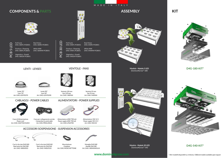## M A D E I N I T A L Y

# **COMPONENTS & PARTS**



| ш       | <b>Full Cycle</b><br>D4G-180FC-PCB001     | <b>Real Vision</b><br>D4G-180RV-PCB001 |
|---------|-------------------------------------------|----------------------------------------|
| L٢<br>m | Fioritura - Flowering<br>D4G-180FL-PCB001 | White WW<br>D4G-180WW-PCB001           |
|         | Vegetativa - Growth<br>D4G-180GR-PCB001   |                                        |



VENTOLE - *FANS*

**ASSEMBLY**



**Modulo -** *Module* **5 LED** Domina4Grow® 180



**Modulo -** *Module* **30 LED** Domina4Grow® 540



**KIT**

**D4G-180-KIT\***



**D4G-540-KIT\***

LENTI - *LENSES*





Lente 90° *Lens 90°* Ventola 120 mm

Art. D4G-LENTE090 *Fan 120 mm* Art. D4G-180FAN

PCB 30 LED

PCB 30 LED

# CABLAGGI - *POWER CABLES*



Lente 70° *Lens 70°* Art. D4G-LENTE070

Cavo di Alimentazione

*Power cord* Art. D4G-3G075SCHUKO Art. D4G-PROLUNGA



Art. D4G-LP60700 Alimentatore 5W 12 V *Power supply 5W 12 V* Art. D4G-5W12V

ALIMENTATORI *- POWER SUPPLIES*

ACCESSORI SOSPENSIONE - *SUSPENSION ACCESSORIES*







Cavi in Acciaio D4G180 *Steel wires for D4G180*  Art. D4G-1800202G Cavi in Acciaio D4G540 *Steel wires for D4G540* Art. D4G-5400252G

Moschettone *Carabiner* Art. D4G-MOSCHETTONE

Maniglia D4G180 *Handle D4G180* Art. D4G-180MANIGLIA

Ventola 92 mm *Fan 92 mm* Art. D4G-540FAN



# **www.domina4grow.com**